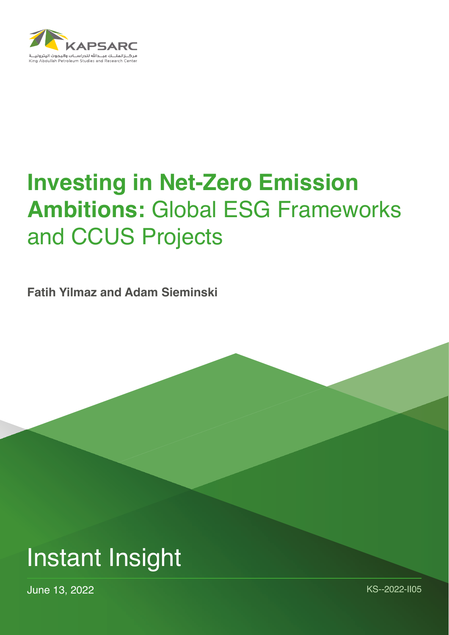

# **Investing in Net-Zero Emission Ambitions:** Global ESG Frameworks and CCUS Projects

**Fatih Yilmaz and Adam Sieminski**



June 13, 2022 KS--2022-II05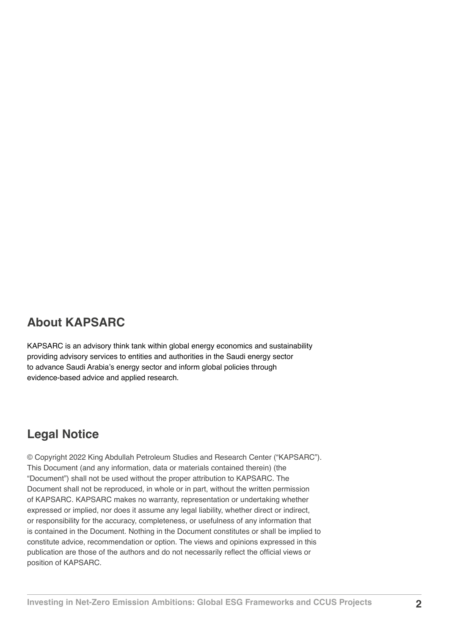## **About KAPSARC**

KAPSARC is an advisory think tank within global energy economics and sustainability providing advisory services to entities and authorities in the Saudi energy sector to advance Saudi Arabia's energy sector and inform global policies through evidence-based advice and applied research.

# **Legal Notice**

© Copyright 2022 King Abdullah Petroleum Studies and Research Center ("KAPSARC"). This Document (and any information, data or materials contained therein) (the "Document") shall not be used without the proper attribution to KAPSARC. The Document shall not be reproduced, in whole or in part, without the written permission of KAPSARC. KAPSARC makes no warranty, representation or undertaking whether expressed or implied, nor does it assume any legal liability, whether direct or indirect, or responsibility for the accuracy, completeness, or usefulness of any information that is contained in the Document. Nothing in the Document constitutes or shall be implied to constitute advice, recommendation or option. The views and opinions expressed in this publication are those of the authors and do not necessarily reflect the official views or position of KAPSARC.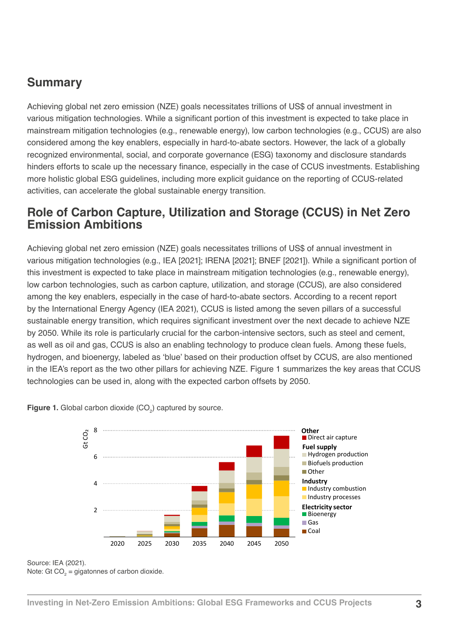## **Summary**

Achieving global net zero emission (NZE) goals necessitates trillions of US\$ of annual investment in various mitigation technologies. While a significant portion of this investment is expected to take place in mainstream mitigation technologies (e.g., renewable energy), low carbon technologies (e.g., CCUS) are also considered among the key enablers, especially in hard-to-abate sectors. However, the lack of a globally recognized environmental, social, and corporate governance (ESG) taxonomy and disclosure standards hinders efforts to scale up the necessary finance, especially in the case of CCUS investments. Establishing more holistic global ESG guidelines, including more explicit guidance on the reporting of CCUS-related activities, can accelerate the global sustainable energy transition.

#### **Role of Carbon Capture, Utilization and Storage (CCUS) in Net Zero Emission Ambitions**

Achieving global net zero emission (NZE) goals necessitates trillions of US\$ of annual investment in various mitigation technologies (e.g., IEA [2021]; IRENA [2021]; BNEF [2021]). While a significant portion of this investment is expected to take place in mainstream mitigation technologies (e.g., renewable energy), low carbon technologies, such as carbon capture, utilization, and storage (CCUS), are also considered among the key enablers, especially in the case of hard-to-abate sectors. According to a recent report by the International Energy Agency (IEA 2021), CCUS is listed among the seven pillars of a successful sustainable energy transition, which requires significant investment over the next decade to achieve NZE by 2050. While its role is particularly crucial for the carbon-intensive sectors, such as steel and cement, as well as oil and gas, CCUS is also an enabling technology to produce clean fuels. Among these fuels, hydrogen, and bioenergy, labeled as 'blue' based on their production offset by CCUS, are also mentioned in the IEA's report as the two other pillars for achieving NZE. Figure 1 summarizes the key areas that CCUS technologies can be used in, along with the expected carbon offsets by 2050. power plants (1% of  $\sim$  0.010) are equipped with CCUS, and the  $\sim$  220 GW of coalitions to 220 GW of coalitions to 220 GW of coalitions to 220 GW of coalitions to 220 GW of coalitions to 220 GW of coalition and gas, OOOO is also an chability technology to produce cream ideis. Among the



**Figure 1.** Global carbon dioxide (CO<sub>2</sub>) captured by source.

Source: IEA (2021).

*By 2050, 7.6 Gt Of CO21, 7.6 Gt of Carbon dioxide.*<br>Note: Gt CO<sub>2</sub> = gigatonnes of carbon dioxide. *CO2 is captured from bioenergy use and DAC, of which 1.9 Gt CO2 is permanently stored.*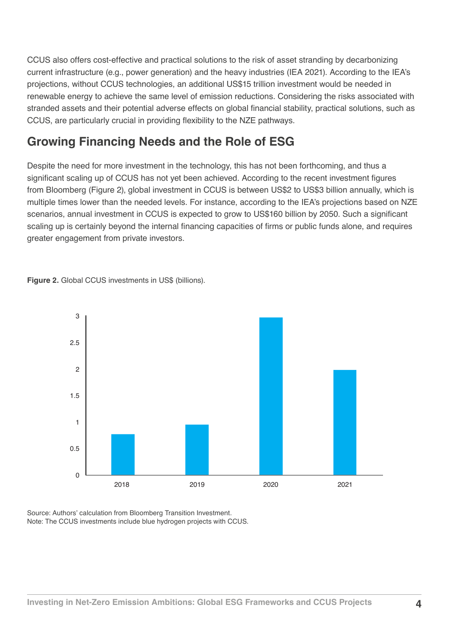CCUS also offers cost-effective and practical solutions to the risk of asset stranding by decarbonizing current infrastructure (e.g., power generation) and the heavy industries (IEA 2021). According to the IEA's projections, without CCUS technologies, an additional US\$15 trillion investment would be needed in renewable energy to achieve the same level of emission reductions. Considering the risks associated with stranded assets and their potential adverse effects on global financial stability, practical solutions, such as CCUS, are particularly crucial in providing flexibility to the NZE pathways.

## **Growing Financing Needs and the Role of ESG**

Despite the need for more investment in the technology, this has not been forthcoming, and thus a significant scaling up of CCUS has not yet been achieved. According to the recent investment figures from Bloomberg (Figure 2), global investment in CCUS is between US\$2 to US\$3 billion annually, which is multiple times lower than the needed levels. For instance, according to the IEA's projections based on NZE scenarios, annual investment in CCUS is expected to grow to US\$160 billion by 2050. Such a significant scaling up is certainly beyond the internal financing capacities of firms or public funds alone, and requires greater engagement from private investors.

**Figure 2.** Global CCUS investments in US\$ (billions).



Source: Authors' calculation from Bloomberg Transition Investment. Note: The CCUS investments include blue hydrogen projects with CCUS.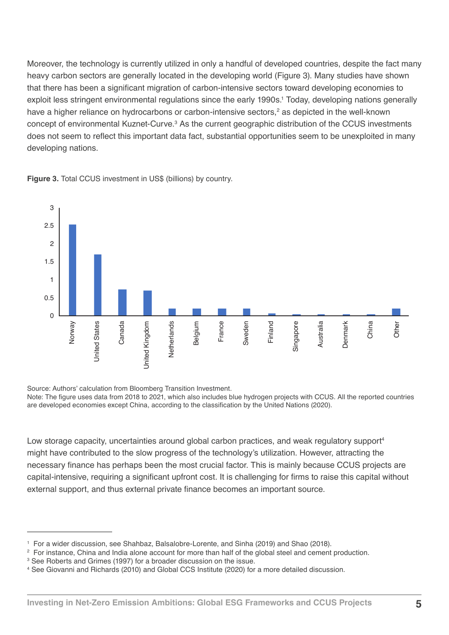Moreover, the technology is currently utilized in only a handful of developed countries, despite the fact many heavy carbon sectors are generally located in the developing world (Figure 3). Many studies have shown that there has been a significant migration of carbon-intensive sectors toward developing economies to exploit less stringent environmental regulations since the early 1990s.<sup>1</sup> Today, developing nations generally have a higher reliance on hydrocarbons or carbon-intensive sectors,<sup>2</sup> as depicted in the well-known concept of environmental Kuznet-Curve.<sup>3</sup> As the current geographic distribution of the CCUS investments does not seem to reflect this important data fact, substantial opportunities seem to be unexploited in many developing nations.





Source: Authors' calculation from Bloomberg Transition Investment.

Note: The figure uses data from 2018 to 2021, which also includes blue hydrogen projects with CCUS. All the reported countries are developed economies except China, according to the classification by the United Nations (2020).

Low storage capacity, uncertainties around global carbon practices, and weak regulatory support<sup>4</sup> might have contributed to the slow progress of the technology's utilization. However, attracting the necessary finance has perhaps been the most crucial factor. This is mainly because CCUS projects are capital-intensive, requiring a significant upfront cost. It is challenging for firms to raise this capital without external support, and thus external private finance becomes an important source.

<sup>1</sup> For a wider discussion, see Shahbaz, Balsalobre-Lorente, and Sinha (2019) and Shao (2018).

<sup>2</sup> For instance, China and India alone account for more than half of the global steel and cement production.

 $\,^3$  See Roberts and Grimes (1997) for a broader discussion on the issue.

<sup>4</sup> See Giovanni and Richards (2010) and Global CCS Institute (2020) for a more detailed discussion.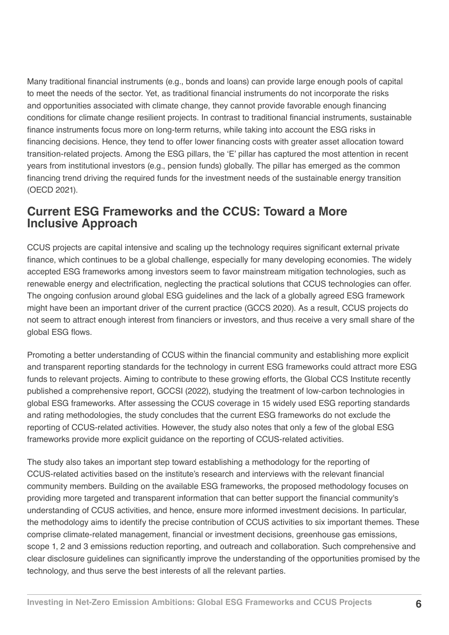Many traditional financial instruments (e.g., bonds and loans) can provide large enough pools of capital to meet the needs of the sector. Yet, as traditional financial instruments do not incorporate the risks and opportunities associated with climate change, they cannot provide favorable enough financing conditions for climate change resilient projects. In contrast to traditional financial instruments, sustainable finance instruments focus more on long-term returns, while taking into account the ESG risks in financing decisions. Hence, they tend to offer lower financing costs with greater asset allocation toward transition-related projects. Among the ESG pillars, the 'E' pillar has captured the most attention in recent years from institutional investors (e.g., pension funds) globally. The pillar has emerged as the common financing trend driving the required funds for the investment needs of the sustainable energy transition (OECD 2021).

### **Current ESG Frameworks and the CCUS: Toward a More Inclusive Approach**

CCUS projects are capital intensive and scaling up the technology requires significant external private finance, which continues to be a global challenge, especially for many developing economies. The widely accepted ESG frameworks among investors seem to favor mainstream mitigation technologies, such as renewable energy and electrification, neglecting the practical solutions that CCUS technologies can offer. The ongoing confusion around global ESG guidelines and the lack of a globally agreed ESG framework might have been an important driver of the current practice (GCCS 2020). As a result, CCUS projects do not seem to attract enough interest from financiers or investors, and thus receive a very small share of the global ESG flows.

Promoting a better understanding of CCUS within the financial community and establishing more explicit and transparent reporting standards for the technology in current ESG frameworks could attract more ESG funds to relevant projects. Aiming to contribute to these growing efforts, the Global CCS Institute recently published a comprehensive report, GCCSI (2022), studying the treatment of low-carbon technologies in global ESG frameworks. After assessing the CCUS coverage in 15 widely used ESG reporting standards and rating methodologies, the study concludes that the current ESG frameworks do not exclude the reporting of CCUS-related activities. However, the study also notes that only a few of the global ESG frameworks provide more explicit guidance on the reporting of CCUS-related activities.

The study also takes an important step toward establishing a methodology for the reporting of CCUS-related activities based on the institute's research and interviews with the relevant financial community members. Building on the available ESG frameworks, the proposed methodology focuses on providing more targeted and transparent information that can better support the financial community's understanding of CCUS activities, and hence, ensure more informed investment decisions. In particular, the methodology aims to identify the precise contribution of CCUS activities to six important themes. These comprise climate-related management, financial or investment decisions, greenhouse gas emissions, scope 1, 2 and 3 emissions reduction reporting, and outreach and collaboration. Such comprehensive and clear disclosure guidelines can significantly improve the understanding of the opportunities promised by the technology, and thus serve the best interests of all the relevant parties.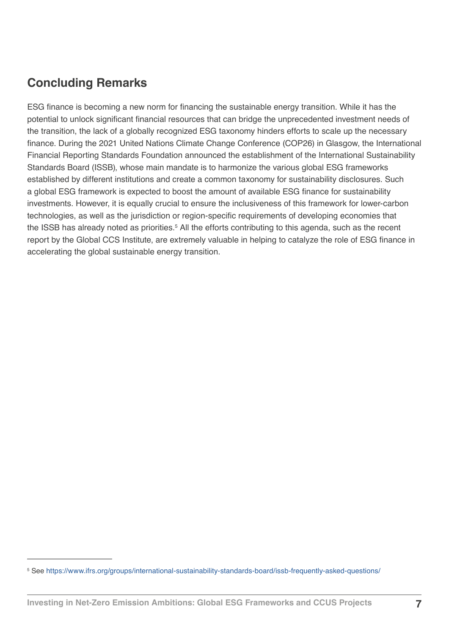# **Concluding Remarks**

ESG finance is becoming a new norm for financing the sustainable energy transition. While it has the potential to unlock significant financial resources that can bridge the unprecedented investment needs of the transition, the lack of a globally recognized ESG taxonomy hinders efforts to scale up the necessary finance. During the 2021 United Nations Climate Change Conference (COP26) in Glasgow, the International Financial Reporting Standards Foundation announced the establishment of the International Sustainability Standards Board (ISSB), whose main mandate is to harmonize the various global ESG frameworks established by different institutions and create a common taxonomy for sustainability disclosures. Such a global ESG framework is expected to boost the amount of available ESG finance for sustainability investments. However, it is equally crucial to ensure the inclusiveness of this framework for lower-carbon technologies, as well as the jurisdiction or region-specific requirements of developing economies that the ISSB has already noted as priorities.<sup>5</sup> All the efforts contributing to this agenda, such as the recent report by the Global CCS Institute, are extremely valuable in helping to catalyze the role of ESG finance in accelerating the global sustainable energy transition.

<sup>5</sup> See [https://www.ifrs.org/groups/international-sustainability-standards-board/issb-frequently-asked-questions/](https://www.ifrs.org/groups/international-sustainability-standards-board/issb-frequently-asked-quest)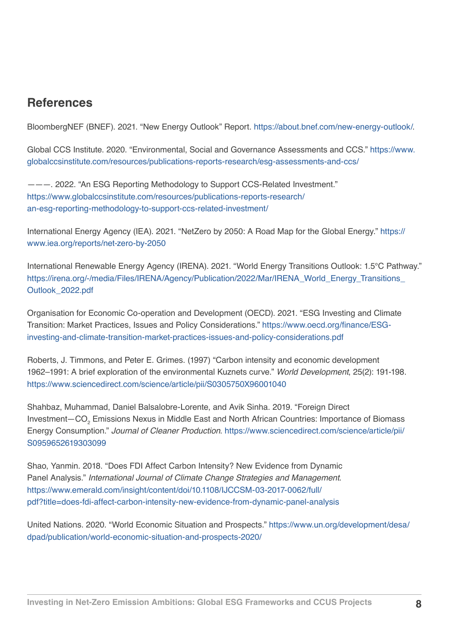## **References**

BloombergNEF (BNEF). 2021. "New Energy Outlook" Report. <https://about.bnef.com/new-energy-outlook/>.

Global CCS Institute. 2020. "Environmental, Social and Governance Assessments and CCS." [https://www.](https://www.globalccsinstitute.com/resources/publications-reports-research/esg-assessments-and-ccs/) [globalccsinstitute.com/resources/publications-reports-research/esg-assessments-and-ccs/](https://www.globalccsinstitute.com/resources/publications-reports-research/esg-assessments-and-ccs/)

———. 2022. "An ESG Reporting Methodology to Support CCS-Related Investment." [https://www.globalccsinstitute.com/resources/publications-reports-research/](https://www.globalccsinstitute.com/resources/publications-reports-research/an-esg-reporting-methodol) [an-esg-reporting-methodology-to-support-ccs-related-investment/](https://www.globalccsinstitute.com/resources/publications-reports-research/an-esg-reporting-methodol)

International Energy Agency (IEA). 2021. "NetZero by 2050: A Road Map for the Global Energy." [https://](https://www.iea.org/reports/net-zero-by-2050) [www.iea.org/reports/net-zero-by-2050](https://www.iea.org/reports/net-zero-by-2050)

International Renewable Energy Agency (IRENA). 2021. "World Energy Transitions Outlook: 1.5°C Pathway." [https://irena.org/-/media/Files/IRENA/Agency/Publication/2022/Mar/IRENA\\_World\\_Energy\\_Transitions\\_](https://irena.org/-/media/Files/IRENA/Agency/Publication/2022/Mar/IRENA_World_Energy_Transitions_Out) [Outlook\\_2022.pdf](https://irena.org/-/media/Files/IRENA/Agency/Publication/2022/Mar/IRENA_World_Energy_Transitions_Out)

Organisation for Economic Co-operation and Development (OECD). 2021. "ESG Investing and Climate Transition: Market Practices, Issues and Policy Considerations." [https://www.oecd.org/finance/ESG](https://www.oecd.org/finance/ESG-investing-and-climate-transition-market-practices-issues-and-policy)[investing-and-climate-transition-market-practices-issues-and-policy-considerations.pdf](https://www.oecd.org/finance/ESG-investing-and-climate-transition-market-practices-issues-and-policy)

Roberts, J. Timmons, and Peter E. Grimes. (1997) "Carbon intensity and economic development 1962–1991: A brief exploration of the environmental Kuznets curve." *World Development*, 25(2): 191-198. <https://www.sciencedirect.com/science/article/pii/S0305750X96001040>

Shahbaz, Muhammad, Daniel Balsalobre-Lorente, and Avik Sinha. 2019. "Foreign Direct Investment—CO<sub>2</sub> Emissions Nexus in Middle East and North African Countries: Importance of Biomass Energy Consumption." *Journal of Cleaner Production*. [https://www.sciencedirect.com/science/article/pii/](https://www.sciencedirect.com/science/article/pii/S0959652619303099) [S0959652619303099](https://www.sciencedirect.com/science/article/pii/S0959652619303099)

Shao, Yanmin. 2018. "Does FDI Affect Carbon Intensity? New Evidence from Dynamic Panel Analysis." *International Journal of Climate Change Strategies and Management*. [https://www.emerald.com/insight/content/doi/10.1108/IJCCSM-03-2017-0062/full/](https://www.emerald.com/insight/content/doi/10.1108/IJCCSM-03-2017-0062/full/pdf?title=does-fdi-affe) [pdf?title=does-fdi-affect-carbon-intensity-new-evidence-from-dynamic-panel-analysis](https://www.emerald.com/insight/content/doi/10.1108/IJCCSM-03-2017-0062/full/pdf?title=does-fdi-affe)

United Nations. 2020. "World Economic Situation and Prospects." [https://www.un.org/development/desa/](https://www.un.org/development/desa/dpad/publication/world-economic-situation-and-prospects-2020/) [dpad/publication/world-economic-situation-and-prospects-2020/](https://www.un.org/development/desa/dpad/publication/world-economic-situation-and-prospects-2020/)